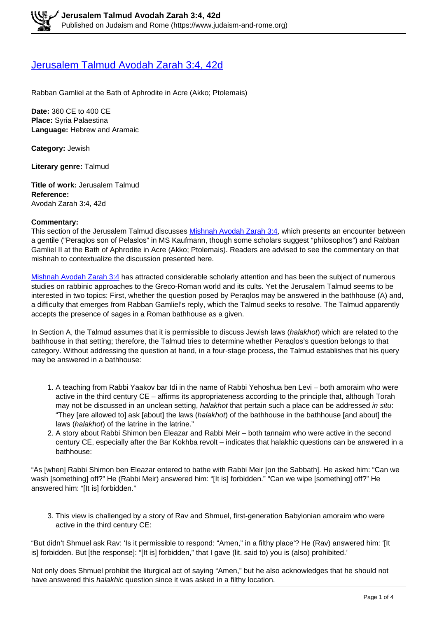## [Jerusalem Talmud Avodah Zarah 3:4, 42d](https://www.judaism-and-rome.org/jerusalem-talmud-avodah-zarah-34-42d)

Rabban Gamliel at the Bath of Aphrodite in Acre (Akko; Ptolemais)

**Date:** 360 CE to 400 CE **Place:** Syria Palaestina **Language:** Hebrew and Aramaic

**Category:** Jewish

**Literary genre:** Talmud

**Title of work:** Jerusalem Talmud **Reference:**  Avodah Zarah 3:4, 42d

## **Commentary:**

This section of the Jerusalem Talmud discusses Mishnah Avodah Zarah 3:4, which presents an encounter between a gentile ("Peraqlos son of Pelaslos" in MS Kaufmann, though some scholars suggest "philosophos") and Rabban Gamliel II at the Bath of Aphrodite in Acre (Akko; Ptolemais). Readers are advised to see the commentary on that mishnah to contextualize the discussion presented here.

Mishnah Avodah Zarah 3:4 has attracted considerable scholarly attention and has been the subject of numerous studies on rabbinic approaches to the Greco-Roman world and its cults. Yet the Jerusalem Talmud seems to be interested in two topics: First, whether the question posed by Peraqlos may be answered in the bathhouse (A) and, a difficulty that emerges from Rabban Gamliel's reply, which the Talmud seeks to resolve. The Talmud apparently accepts the presence of sages in a Roman bathhouse as a given.

In Section A, the Talmud assumes that it is permissible to discuss Jewish laws (halakhot) which are related to the bathhouse in that setting; therefore, the Talmud tries to determine whether Peraqlos's question belongs to that category. Without addressing the question at hand, in a four-stage process, the Talmud establishes that his query may be answered in a bathhouse:

- 1. A teaching from Rabbi Yaakov bar Idi in the name of Rabbi Yehoshua ben Levi both amoraim who were active in the third century CE – affirms its appropriateness according to the principle that, although Torah may not be discussed in an unclean setting, halakhot that pertain such a place can be addressed in situ: "They [are allowed to] ask [about] the laws (halakhot) of the bathhouse in the bathhouse [and about] the laws (halakhot) of the latrine in the latrine."
- 2. A story about Rabbi Shimon ben Eleazar and Rabbi Meir both tannaim who were active in the second century CE, especially after the Bar Kokhba revolt – indicates that halakhic questions can be answered in a bathhouse:

"As [when] Rabbi Shimon ben Eleazar entered to bathe with Rabbi Meir [on the Sabbath]. He asked him: "Can we wash [something] off?" He (Rabbi Meir) answered him: "[It is] forbidden." "Can we wipe [something] off?" He answered him: "[It is] forbidden."

3. This view is challenged by a story of Rav and Shmuel, first-generation Babylonian amoraim who were active in the third century CE:

"But didn't Shmuel ask Rav: 'Is it permissible to respond: "Amen," in a filthy place'? He (Rav) answered him: '[It is] forbidden. But [the response]: "[It is] forbidden," that I gave (lit. said to) you is (also) prohibited.'

Not only does Shmuel prohibit the liturgical act of saying "Amen," but he also acknowledges that he should not have answered this halakhic question since it was asked in a filthy location.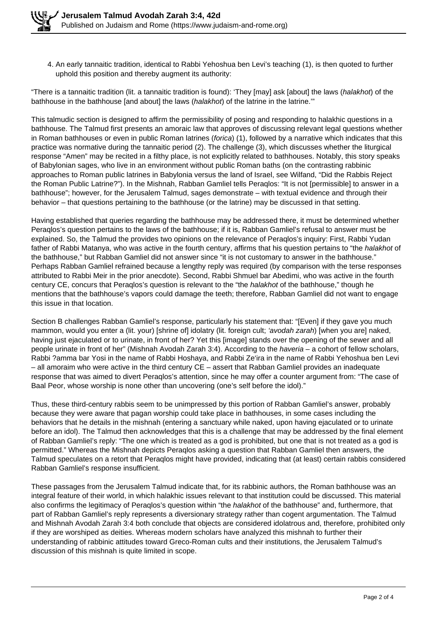4. An early tannaitic tradition, identical to Rabbi Yehoshua ben Levi's teaching (1), is then quoted to further uphold this position and thereby augment its authority:

"There is a tannaitic tradition (lit. a tannaitic tradition is found): 'They [may] ask [about] the laws (halakhot) of the bathhouse in the bathhouse [and about] the laws (halakhot) of the latrine in the latrine."

This talmudic section is designed to affirm the permissibility of posing and responding to halakhic questions in a bathhouse. The Talmud first presents an amoraic law that approves of discussing relevant legal questions whether in Roman bathhouses or even in public Roman latrines (*forica*) (1), followed by a narrative which indicates that this practice was normative during the tannaitic period (2). The challenge (3), which discusses whether the liturgical response "Amen" may be recited in a filthy place, is not explicitly related to bathhouses. Notably, this story speaks of Babylonian sages, who live in an environment without public Roman baths (on the contrasting rabbinic approaches to Roman public latrines in Babylonia versus the land of Israel, see Wilfand, "Did the Rabbis Reject the Roman Public Latrine?"). In the Mishnah, Rabban Gamliel tells Peraqlos: "It is not [permissible] to answer in a bathhouse"; however, for the Jerusalem Talmud, sages demonstrate – with textual evidence and through their behavior – that questions pertaining to the bathhouse (or the latrine) may be discussed in that setting.

Having established that queries regarding the bathhouse may be addressed there, it must be determined whether Peraqlos's question pertains to the laws of the bathhouse; if it is, Rabban Gamliel's refusal to answer must be explained. So, the Talmud the provides two opinions on the relevance of Peraqlos's inquiry: First, Rabbi Yudan father of Rabbi Matanya, who was active in the fourth century, affirms that his question pertains to "the halakhot of the bathhouse," but Rabban Gamliel did not answer since "it is not customary to answer in the bathhouse." Perhaps Rabban Gamliel refrained because a lengthy reply was required (by comparison with the terse responses attributed to Rabbi Meir in the prior anecdote). Second, Rabbi Shmuel bar Abedimi, who was active in the fourth century CE, concurs that Peraqlos's question is relevant to the "the halakhot of the bathhouse," though he mentions that the bathhouse's vapors could damage the teeth; therefore, Rabban Gamliel did not want to engage this issue in that location.

Section B challenges Rabban Gamliel's response, particularly his statement that: "[Even] if they gave you much mammon, would you enter a (lit. your) [shrine of] idolatry (lit. foreign cult; 'avodah zarah) [when you are] naked, having just ejaculated or to urinate, in front of her? Yet this [image] stands over the opening of the sewer and all people urinate in front of her" (Mishnah Avodah Zarah 3:4). According to the haveria – a cohort of fellow scholars, Rabbi ?amma bar Yosi in the name of Rabbi Hoshaya, and Rabbi Ze'ira in the name of Rabbi Yehoshua ben Levi – all amoraim who were active in the third century CE – assert that Rabban Gamliel provides an inadequate response that was aimed to divert Peraqlos's attention, since he may offer a counter argument from: "The case of Baal Peor, whose worship is none other than uncovering (one's self before the idol)."

Thus, these third-century rabbis seem to be unimpressed by this portion of Rabban Gamliel's answer, probably because they were aware that pagan worship could take place in bathhouses, in some cases including the behaviors that he details in the mishnah (entering a sanctuary while naked, upon having ejaculated or to urinate before an idol). The Talmud then acknowledges that this is a challenge that may be addressed by the final element of Rabban Gamliel's reply: "The one which is treated as a god is prohibited, but one that is not treated as a god is permitted." Whereas the Mishnah depicts Peraqlos asking a question that Rabban Gamliel then answers, the Talmud speculates on a retort that Peraqlos might have provided, indicating that (at least) certain rabbis considered Rabban Gamliel's response insufficient.

These passages from the Jerusalem Talmud indicate that, for its rabbinic authors, the Roman bathhouse was an integral feature of their world, in which halakhic issues relevant to that institution could be discussed. This material also confirms the legitimacy of Peraglos's question within "the *halakhot* of the bathhouse" and, furthermore, that part of Rabban Gamliel's reply represents a diversionary strategy rather than cogent argumentation. The Talmud and Mishnah Avodah Zarah 3:4 both conclude that objects are considered idolatrous and, therefore, prohibited only if they are worshiped as deities. Whereas modern scholars have analyzed this mishnah to further their understanding of rabbinic attitudes toward Greco-Roman cults and their institutions, the Jerusalem Talmud's discussion of this mishnah is quite limited in scope.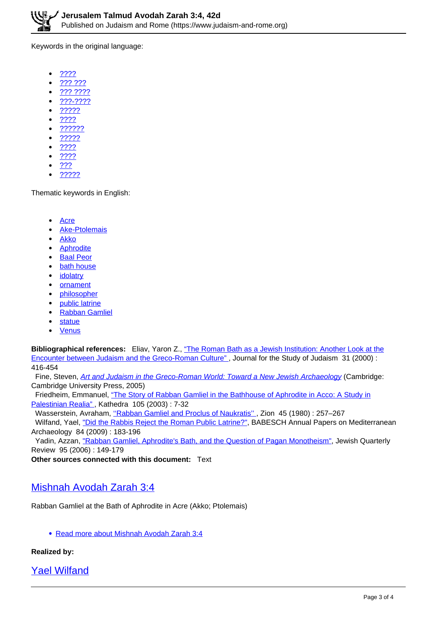Keywords in the original language:

- ????  $\bullet$
- ??? ???
- ??? ????
- ???-????
- ?????
- ????
- ??????
- ?????
- ????
- ????
- ???
- ?????

Thematic keywords in English:

- Acre
- Ake-Ptolemais
- Akko
- **Aphrodite**
- Baal Peor
- bath house
- **idolatry**
- **ornament**
- philosopher
- public latrine
- Rabban Gamliel
- statue
- $\bullet$ **Venus**

**Bibliographical references:** Eliav, Yaron Z., "The Roman Bath as a Jewish Institution: Another Look at the Encounter between Judaism and the Greco-Roman Culture" , Journal for the Study of Judaism 31 (2000) : 416-454

Fine, Steven, Art and Judaism in the Greco-Roman World: Toward a New Jewish Archaeology (Cambridge: Cambridge University Press, 2005)

 Friedheim, Emmanuel, "The Story of Rabban Gamliel in the Bathhouse of Aphrodite in Acco: A Study in Palestinian Realia" , Kathedra 105 (2003) : 7-32

Wasserstein, Avraham, "Rabban Gamliel and Proclus of Naukratis", Zion 45 (1980): 257-267

 Wilfand, Yael, "Did the Rabbis Reject the Roman Public Latrine?", BABESCH Annual Papers on Mediterranean Archaeology 84 (2009) : 183-196

Yadin, Azzan, "Rabban Gamliel, Aphrodite's Bath, and the Question of Pagan Monotheism", Jewish Quarterly Review 95 (2006) : 149-179

**Other sources connected with this document:** Text

## Mishnah Avodah Zarah 3:4

Rabban Gamliel at the Bath of Aphrodite in Acre (Akko; Ptolemais)

Read more about Mishnah Avodah Zarah 3:4

## **Realized by:**

Yael Wilfand